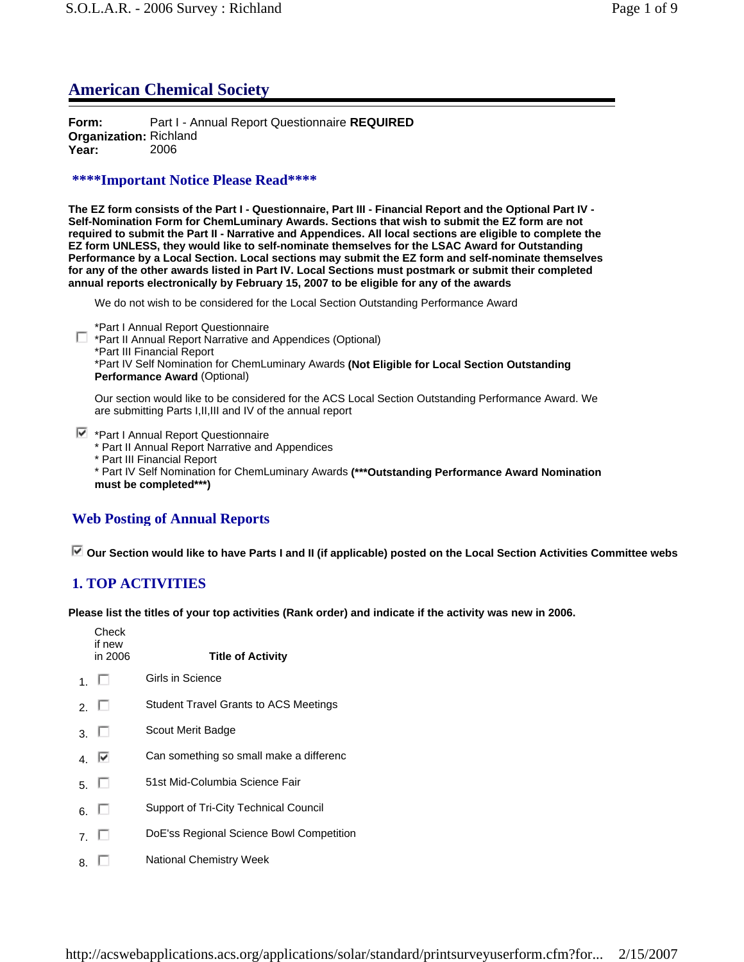## **American Chemical Society**

**Form:** Part I - Annual Report Questionnaire **REQUIRED Organization:** Richland **Year:** 2006

## **\*\*\*\*Important Notice Please Read\*\*\*\***

**The EZ form consists of the Part I - Questionnaire, Part III - Financial Report and the Optional Part IV - Self-Nomination Form for ChemLuminary Awards. Sections that wish to submit the EZ form are not required to submit the Part II - Narrative and Appendices. All local sections are eligible to complete the EZ form UNLESS, they would like to self-nominate themselves for the LSAC Award for Outstanding Performance by a Local Section. Local sections may submit the EZ form and self-nominate themselves for any of the other awards listed in Part IV. Local Sections must postmark or submit their completed annual reports electronically by February 15, 2007 to be eligible for any of the awards**

We do not wish to be considered for the Local Section Outstanding Performance Award

\*Part I Annual Report Questionnaire

\*Part II Annual Report Narrative and Appendices (Optional) \*Part III Financial Report \*Part IV Self Nomination for ChemLuminary Awards **(Not Eligible for Local Section Outstanding Performance Award** (Optional)

Our section would like to be considered for the ACS Local Section Outstanding Performance Award. We are submitting Parts I,II,III and IV of the annual report

 $\blacktriangleright$  \*Part I Annual Report Questionnaire

- \* Part II Annual Report Narrative and Appendices
- \* Part III Financial Report

\* Part IV Self Nomination for ChemLuminary Awards **(\*\*\*Outstanding Performance Award Nomination must be completed\*\*\*)**

## **Web Posting of Annual Reports**

 **Our Section would like to have Parts I and II (if applicable) posted on the Local Section Activities Committee webs**

## **1. TOP ACTIVITIES**

**Please list the titles of your top activities (Rank order) and indicate if the activity was new in 2006.**

|    | Check<br>if new<br>in 2006 | <b>Title of Activity</b>                     |
|----|----------------------------|----------------------------------------------|
|    | 1. L                       | Girls in Science                             |
|    | 2. $\Box$                  | <b>Student Travel Grants to ACS Meetings</b> |
|    | 3. $\Box$                  | Scout Merit Badge                            |
|    | 4. $\overline{\mathbf{V}}$ | Can something so small make a differenc      |
|    | 5. $\Box$                  | 51st Mid-Columbia Science Fair               |
|    | 6 L                        | Support of Tri-City Technical Council        |
|    | $7 \Box$                   | DoE'ss Regional Science Bowl Competition     |
| 8. |                            | <b>National Chemistry Week</b>               |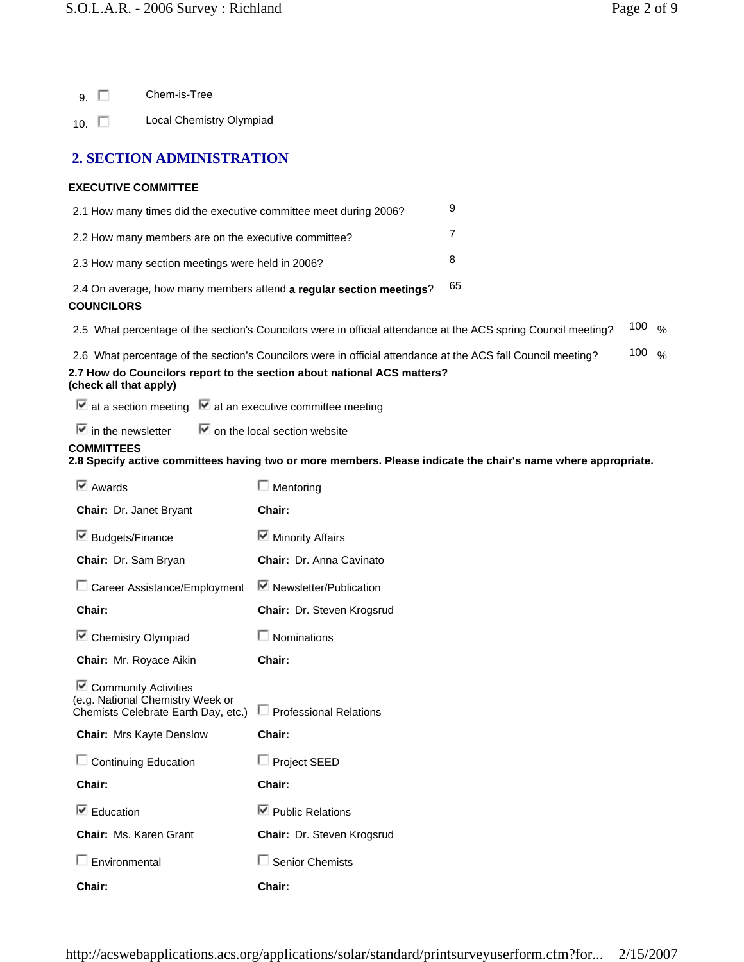|  | Chem-is-Tree |
|--|--------------|
|--|--------------|

10. **Local Chemistry Olympiad** 

## **2. SECTION ADMINISTRATION**

## **EXECUTIVE COMMITTEE**

| 2.1 How many times did the executive committee meet during 2006?                                                                                                                                                  | 9                                                                                                              |                   |                   |  |
|-------------------------------------------------------------------------------------------------------------------------------------------------------------------------------------------------------------------|----------------------------------------------------------------------------------------------------------------|-------------------|-------------------|--|
| 2.2 How many members are on the executive committee?                                                                                                                                                              |                                                                                                                | 7                 |                   |  |
| 2.3 How many section meetings were held in 2006?                                                                                                                                                                  |                                                                                                                | 8                 |                   |  |
| <b>COUNCILORS</b>                                                                                                                                                                                                 | 2.4 On average, how many members attend a regular section meetings?                                            | 65                |                   |  |
|                                                                                                                                                                                                                   | 2.5 What percentage of the section's Councilors were in official attendance at the ACS spring Council meeting? |                   | 100 $\frac{9}{6}$ |  |
| 2.6 What percentage of the section's Councilors were in official attendance at the ACS fall Council meeting?<br>2.7 How do Councilors report to the section about national ACS matters?<br>(check all that apply) |                                                                                                                | 100 $\frac{9}{6}$ |                   |  |
| $\blacksquare$ at a section meeting $\blacksquare$ at an executive committee meeting                                                                                                                              |                                                                                                                |                   |                   |  |
| $\blacksquare$ in the newsletter $\blacksquare$ on the local section website                                                                                                                                      |                                                                                                                |                   |                   |  |
| <b>COMMITTEES</b>                                                                                                                                                                                                 | 2.8 Specify active committees having two or more members. Please indicate the chair's name where appropriate.  |                   |                   |  |
| $\overline{\triangleright}$ Awards                                                                                                                                                                                | $\Box$ Mentoring                                                                                               |                   |                   |  |
| Chair: Dr. Janet Bryant                                                                                                                                                                                           | Chair:                                                                                                         |                   |                   |  |
| $\blacksquare$ Budgets/Finance                                                                                                                                                                                    | Minority Affairs                                                                                               |                   |                   |  |
| Chair: Dr. Sam Bryan                                                                                                                                                                                              | <b>Chair: Dr. Anna Cavinato</b>                                                                                |                   |                   |  |

| □ Career Assistance/Employment ■ Newsletter/Publication |                                   |
|---------------------------------------------------------|-----------------------------------|
| <b>Chair:</b>                                           | <b>Chair: Dr. Steven Krogsrud</b> |

 $\blacksquare$  Chemistry Olympiad  $\blacksquare$  Nominations

**Chair:** Mr. Royace Aikin **Chair:**

Community Activities

| (e.g. National Chemistry Week or<br>Chemists Celebrate Earth Day, etc.) | $\Box$ Professional Relations     |
|-------------------------------------------------------------------------|-----------------------------------|
| <b>Chair:</b> Mrs Kayte Denslow                                         | Chair:                            |
| $\Box$ Continuing Education                                             | $\Box$ Project SEED               |
| Chair:                                                                  | Chair:                            |
| $\triangledown$ Education                                               | $\nabla$ Public Relations         |
| Chair: Ms. Karen Grant                                                  | <b>Chair: Dr. Steven Krogsrud</b> |
| $\Box$ Environmental                                                    | $\Box$ Senior Chemists            |
| <b>Chair:</b>                                                           | Chair:                            |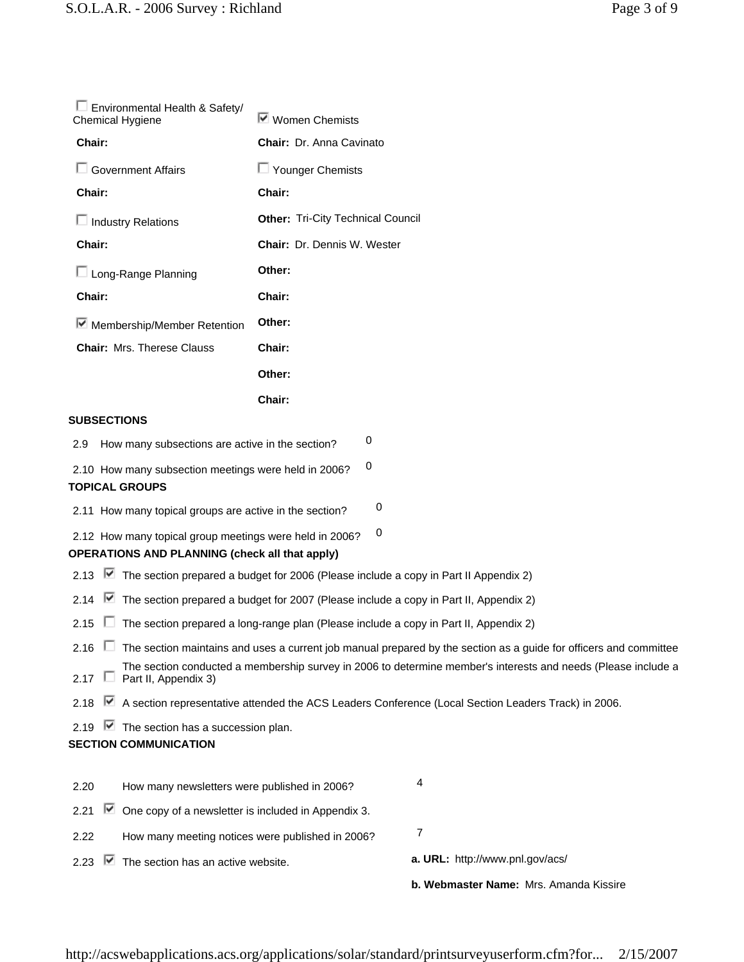| □ Environmental Health & Safety/<br><b>Chemical Hygiene</b> | Ⅳ Women Chemists                         |
|-------------------------------------------------------------|------------------------------------------|
| Chair:                                                      | Chair: Dr. Anna Cavinato                 |
| □ Government Affairs                                        | $\Box$ Younger Chemists                  |
| Chair:                                                      | Chair:                                   |
| $\Box$ Industry Relations                                   | <b>Other: Tri-City Technical Council</b> |
| Chair:                                                      | <b>Chair:</b> Dr. Dennis W. Wester       |
| $\Box$ Long-Range Planning                                  | Other:                                   |
| Chair:                                                      | Chair:                                   |
| Membership/Member Retention                                 | Other:                                   |
| <b>Chair: Mrs. Therese Clauss</b>                           | Chair:                                   |
|                                                             | Other:                                   |
|                                                             | Chair:                                   |

## **SUBSECTIONS**

2.9 How many subsections are active in the section?  $0$ 

2.10 How many subsection meetings were held in 2006?  $0$ **TOPICAL GROUPS**

2.11 How many topical groups are active in the section?  $0$ 

2.12 How many topical group meetings were held in 2006?  $0$ 

## **OPERATIONS AND PLANNING (check all that apply)**

- 2.13  $\blacktriangleright$  The section prepared a budget for 2006 (Please include a copy in Part II Appendix 2)
- 2.14 The section prepared a budget for 2007 (Please include a copy in Part II, Appendix 2)
- 2.15  $\Box$  The section prepared a long-range plan (Please include a copy in Part II, Appendix 2)
- 2.16  $\Box$  The section maintains and uses a current job manual prepared by the section as a guide for officers and committee The section conducted a membership survey in 2006 to determine member's interests and needs (Please include a
- 2.17  $\Box$ Part II, Appendix 3)
- 2.18 M A section representative attended the ACS Leaders Conference (Local Section Leaders Track) in 2006.
- 2.19  $\triangledown$  The section has a succession plan.

## **SECTION COMMUNICATION**

|      |                                                                         | <b>b. Webmaster Name:</b> Mrs. Amanda Kissire |
|------|-------------------------------------------------------------------------|-----------------------------------------------|
|      | 2.23 $\blacksquare$ The section has an active website.                  | a. URL: http://www.pnl.gov/acs/               |
| 2.22 | How many meeting notices were published in 2006?                        |                                               |
|      | 2.21 $\blacksquare$ One copy of a newsletter is included in Appendix 3. |                                               |
| 2.20 | How many newsletters were published in 2006?                            | 4                                             |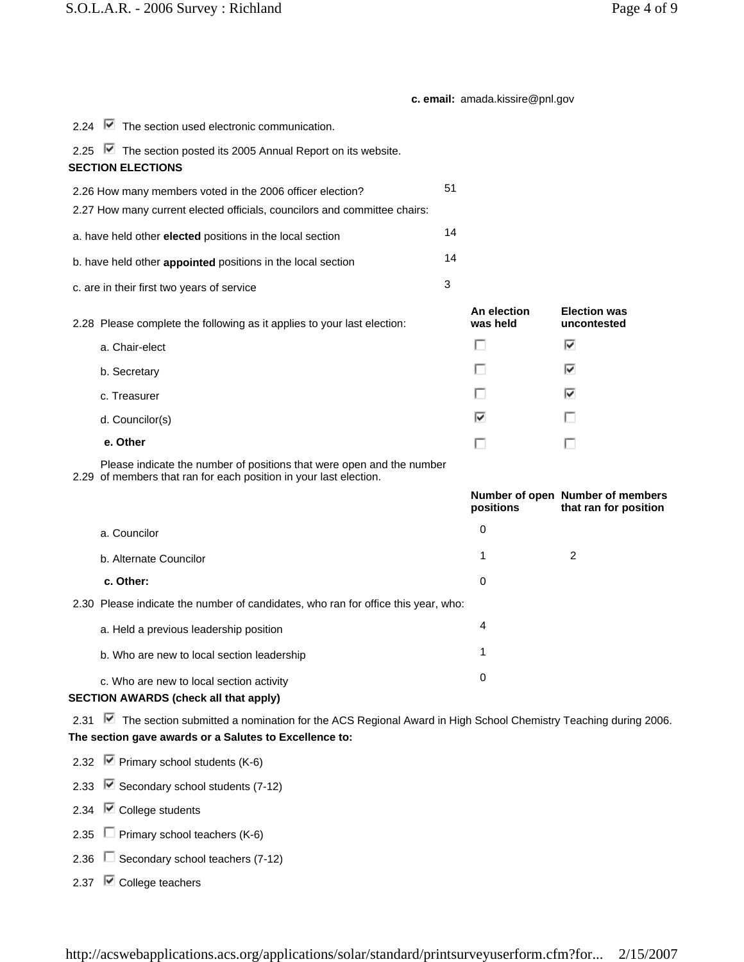## **c. email:** amada.kissire@pnl.gov

| 2.24 <b>■</b> The section used electronic communication.                                                                                                                      |    |                         |                                                           |
|-------------------------------------------------------------------------------------------------------------------------------------------------------------------------------|----|-------------------------|-----------------------------------------------------------|
| 2.25 <b>■</b> The section posted its 2005 Annual Report on its website.<br><b>SECTION ELECTIONS</b>                                                                           |    |                         |                                                           |
| 2.26 How many members voted in the 2006 officer election?<br>2.27 How many current elected officials, councilors and committee chairs:                                        | 51 |                         |                                                           |
| a. have held other elected positions in the local section                                                                                                                     | 14 |                         |                                                           |
| b. have held other appointed positions in the local section                                                                                                                   | 14 |                         |                                                           |
| c. are in their first two years of service                                                                                                                                    | 3  |                         |                                                           |
| 2.28 Please complete the following as it applies to your last election:                                                                                                       |    | An election<br>was held | <b>Election was</b><br>uncontested                        |
| a. Chair-elect                                                                                                                                                                |    | П                       | ☞                                                         |
| b. Secretary                                                                                                                                                                  |    | H                       | ☞                                                         |
| c. Treasurer                                                                                                                                                                  |    |                         | ☞                                                         |
| d. Councilor(s)                                                                                                                                                               |    | ☞                       |                                                           |
| e. Other                                                                                                                                                                      |    | п                       | г                                                         |
| Please indicate the number of positions that were open and the number<br>2.29 of members that ran for each position in your last election.                                    |    |                         |                                                           |
|                                                                                                                                                                               |    | positions               | Number of open Number of members<br>that ran for position |
| a. Councilor                                                                                                                                                                  |    | 0                       |                                                           |
| b. Alternate Councilor                                                                                                                                                        |    | 1                       | 2                                                         |
| c. Other:                                                                                                                                                                     |    | 0                       |                                                           |
| 2.30 Please indicate the number of candidates, who ran for office this year, who:                                                                                             |    |                         |                                                           |
| a. Held a previous leadership position                                                                                                                                        |    | 4                       |                                                           |
| b. Who are new to local section leadership                                                                                                                                    |    | 1                       |                                                           |
| c. Who are new to local section activity<br>SECTION AWARDS (check all that apply)                                                                                             |    | 0                       |                                                           |
| 2.31 ■ The section submitted a nomination for the ACS Regional Award in High School Chemistry Teaching during 2006.<br>The section gave awards or a Salutes to Excellence to: |    |                         |                                                           |
| 2.32 $\triangleright$ Primary school students (K-6)                                                                                                                           |    |                         |                                                           |

2.33  $\overline{\triangledown}$  Secondary school students (7-12)

2.34 **⊘** College students

2.35  $\Box$  Primary school teachers (K-6)

2.36 Secondary school teachers (7-12)

2.37 **v** College teachers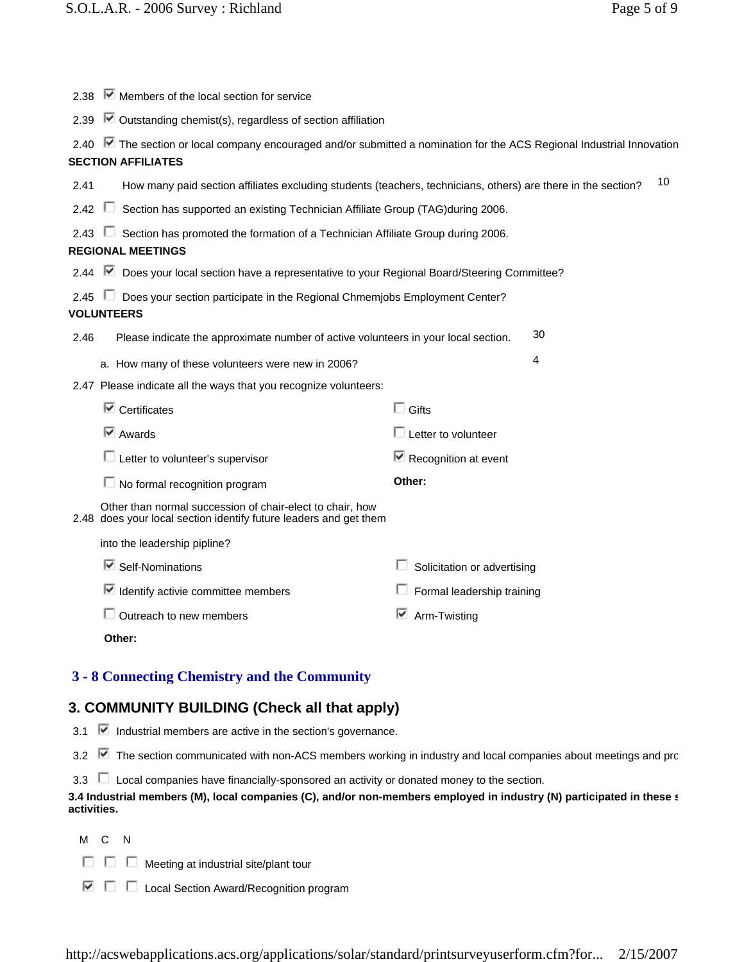|               | 2.38 Members of the local section for service                                                                                                   |                                       |  |  |
|---------------|-------------------------------------------------------------------------------------------------------------------------------------------------|---------------------------------------|--|--|
| 2.39          | $\blacksquare$ Outstanding chemist(s), regardless of section affiliation                                                                        |                                       |  |  |
| 2.40          | ■ The section or local company encouraged and/or submitted a nomination for the ACS Regional Industrial Innovation<br><b>SECTION AFFILIATES</b> |                                       |  |  |
| 2.41          | How many paid section affiliates excluding students (teachers, technicians, others) are there in the section?                                   | 10                                    |  |  |
| 2.42          | Section has supported an existing Technician Affiliate Group (TAG)during 2006.                                                                  |                                       |  |  |
|               | Section has promoted the formation of a Technician Affiliate Group during 2006.<br><b>REGIONAL MEETINGS</b>                                     |                                       |  |  |
|               | 2.44 <b>•</b> Does your local section have a representative to your Regional Board/Steering Committee?                                          |                                       |  |  |
| $2.45$ $\Box$ | Does your section participate in the Regional Chmemjobs Employment Center?<br><b>VOLUNTEERS</b>                                                 |                                       |  |  |
| 2.46          | Please indicate the approximate number of active volunteers in your local section.                                                              | 30                                    |  |  |
|               | a. How many of these volunteers were new in 2006?                                                                                               | 4                                     |  |  |
|               | 2.47 Please indicate all the ways that you recognize volunteers:                                                                                |                                       |  |  |
|               | $\overline{\mathbb{F}}$ Certificates                                                                                                            | $\Box$ Gifts                          |  |  |
|               | $\overline{\triangledown}$ Awards                                                                                                               | $\Box$ Letter to volunteer            |  |  |
|               | $\Box$ Letter to volunteer's supervisor                                                                                                         | $\triangleright$ Recognition at event |  |  |
|               | $\Box$ No formal recognition program                                                                                                            | Other:                                |  |  |
|               | Other than normal succession of chair-elect to chair, how<br>2.48 does your local section identify future leaders and get them                  |                                       |  |  |
|               | into the leadership pipline?                                                                                                                    |                                       |  |  |
|               | $\blacksquare$ Self-Nominations                                                                                                                 | Solicitation or advertising           |  |  |
|               | $\blacktriangleright$ Identify activie committee members                                                                                        | Formal leadership training            |  |  |
|               | $\Box$ Outreach to new members                                                                                                                  | ↜<br>Arm-Twisting                     |  |  |
|               | Other:                                                                                                                                          |                                       |  |  |
|               | 3 - 8 Connecting Chemistry and the Community                                                                                                    |                                       |  |  |

## **3. COMMUNITY BUILDING (Check all that apply)**

3.1  $\triangleright$  Industrial members are active in the section's governance.

3.2  $\blacktriangleright$  The section communicated with non-ACS members working in industry and local companies about meetings and pro

| 3.3 |  |  |  |  |  | $\Box$ Local companies have financially-sponsored an activity or donated money to the section. |  |
|-----|--|--|--|--|--|------------------------------------------------------------------------------------------------|--|
|-----|--|--|--|--|--|------------------------------------------------------------------------------------------------|--|

## **3.4 Industrial members (M), local companies (C), and/or non-members employed in industry (N) participated in these s activities.**

M C N

- $\Box$   $\Box$  Meeting at industrial site/plant tour
- $\nabla$   $\square$  Local Section Award/Recognition program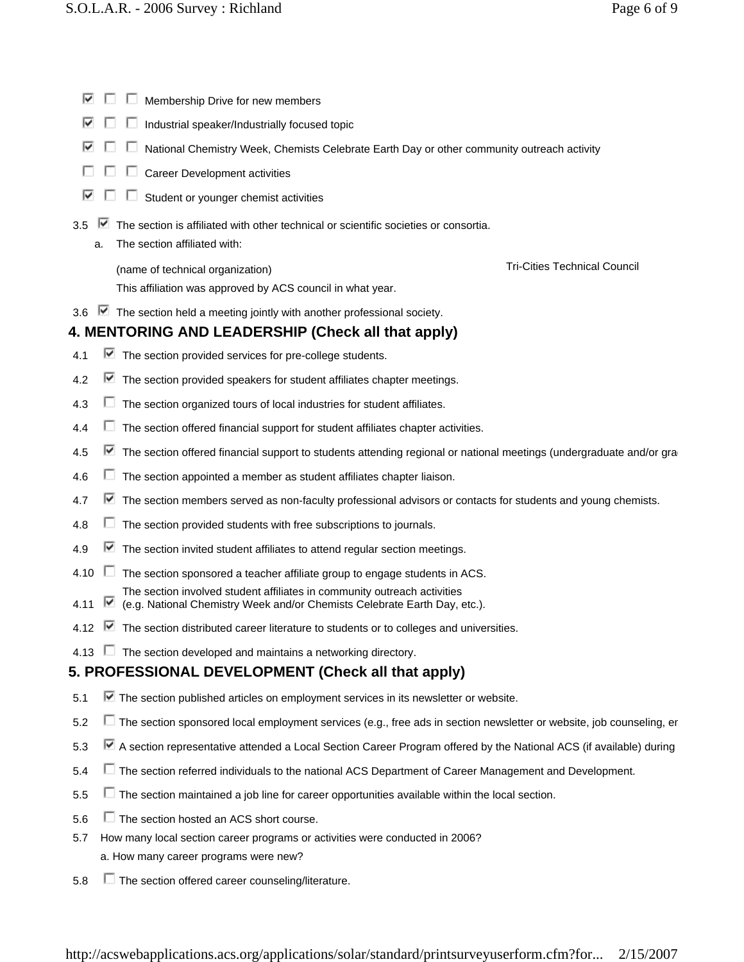- $\blacksquare$   $\blacksquare$  Membership Drive for new members
- $\blacksquare$   $\blacksquare$  Industrial speaker/Industrially focused topic
- $\blacksquare$   $\blacksquare$  National Chemistry Week, Chemists Celebrate Earth Day or other community outreach activity
- $\Box$   $\Box$   $\Box$  Career Development activities
- $\Box$   $\Box$  Student or younger chemist activities
- $3.5$   $\blacksquare$  The section is affiliated with other technical or scientific societies or consortia.
	- a. The section affiliated with:

(name of technical organization) and the control of the Tri-Cities Technical Council

This affiliation was approved by ACS council in what year.

3.6  $\blacksquare$  The section held a meeting jointly with another professional society.

# **4. MENTORING AND LEADERSHIP (Check all that apply)**

- 4.1  $\blacksquare$  The section provided services for pre-college students.
- 4.2  $\blacktriangleright$  The section provided speakers for student affiliates chapter meetings.
- 4.3  $\Box$  The section organized tours of local industries for student affiliates.
- $4.4$   $\Box$  The section offered financial support for student affiliates chapter activities.
- 4.5  $\blacksquare$  The section offered financial support to students attending regional or national meetings (undergraduate and/or gra
- 4.6  $\Box$  The section appointed a member as student affiliates chapter liaison.
- 4.7  $\blacksquare$  The section members served as non-faculty professional advisors or contacts for students and young chemists.
- 4.8  $\Box$  The section provided students with free subscriptions to journals.
- 4.9  $\blacksquare$  The section invited student affiliates to attend regular section meetings.
- 4.10  $\Box$  The section sponsored a teacher affiliate group to engage students in ACS.
	- The section involved student affiliates in community outreach activities
- 4.11 (e.g. National Chemistry Week and/or Chemists Celebrate Earth Day, etc.).
- 4.12  $\blacktriangleright$  The section distributed career literature to students or to colleges and universities.
- 4.13  $\Box$  The section developed and maintains a networking directory.

# **5. PROFESSIONAL DEVELOPMENT (Check all that apply)**

- 5.1  $\blacksquare$  The section published articles on employment services in its newsletter or website.
- 5.2  $\Box$  The section sponsored local employment services (e.g., free ads in section newsletter or website, job counseling, er
- 5.3 A section representative attended a Local Section Career Program offered by the National ACS (if available) during
- 5.4  $\Box$  The section referred individuals to the national ACS Department of Career Management and Development.
- $5.5$   $\Box$  The section maintained a job line for career opportunities available within the local section.
- $5.6$   $\Box$  The section hosted an ACS short course.
- 5.7 How many local section career programs or activities were conducted in 2006? a. How many career programs were new?
- 5.8 The section offered career counseling/literature.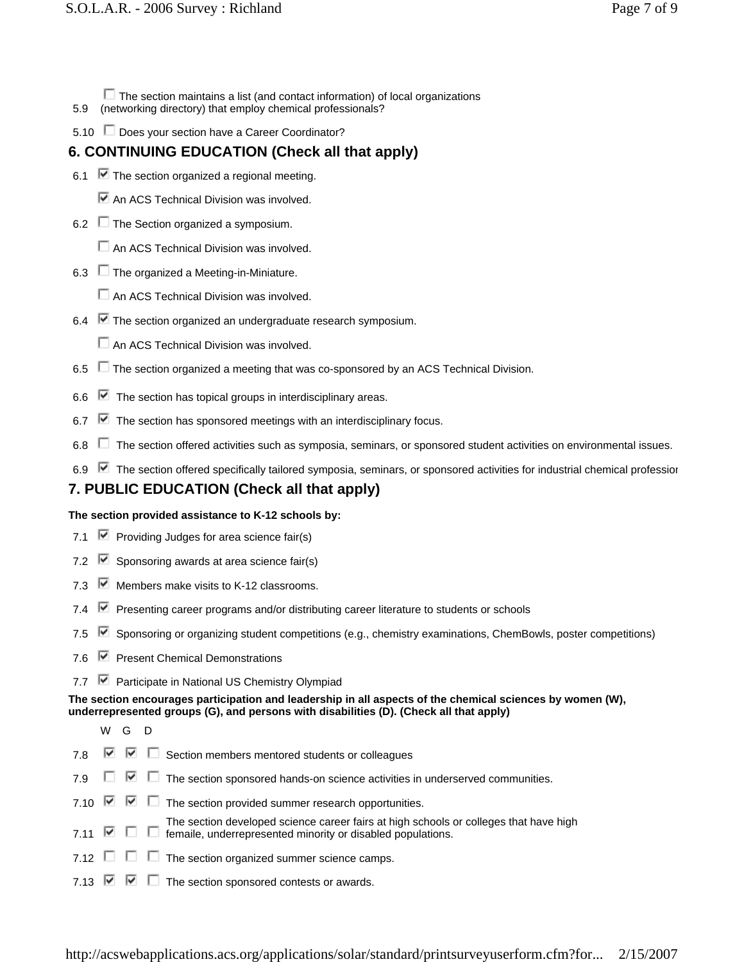- The section maintains a list (and contact information) of local organizations
- 5.9 (networking directory) that employ chemical professionals?
- 5.10 Does your section have a Career Coordinator?

# **6. CONTINUING EDUCATION (Check all that apply)**

- 6.1  $\blacktriangleright$  The section organized a regional meeting.
	- An ACS Technical Division was involved.
- 6.2  $\Box$  The Section organized a symposium.
	- $\Box$  An ACS Technical Division was involved.
- 6.3  $\Box$  The organized a Meeting-in-Miniature.
	- $\Box$  An ACS Technical Division was involved.
- 6.4 The section organized an undergraduate research symposium.
	- An ACS Technical Division was involved.
- 6.5  $\Box$  The section organized a meeting that was co-sponsored by an ACS Technical Division.
- 6.6  $\blacktriangleright$  The section has topical groups in interdisciplinary areas.
- $\blacktriangleright$  The section has sponsored meetings with an interdisciplinary focus.
- $6.8$   $\Box$  The section offered activities such as symposia, seminars, or sponsored student activities on environmental issues.
- 6.9 The section offered specifically tailored symposia, seminars, or sponsored activities for industrial chemical profession

# **7. PUBLIC EDUCATION (Check all that apply)**

## **The section provided assistance to K-12 schools by:**

- 7.1  $\blacksquare$  Providing Judges for area science fair(s)
- 7.2  $\triangledown$  Sponsoring awards at area science fair(s)
- 7.3  $\blacktriangleright$  Members make visits to K-12 classrooms.
- 7.4 **■** Presenting career programs and/or distributing career literature to students or schools
- 7.5  $\blacktriangleright$  Sponsoring or organizing student competitions (e.g., chemistry examinations, ChemBowls, poster competitions)
- 7.6 **•** Present Chemical Demonstrations
- 7.7 **■** Participate in National US Chemistry Olympiad

**The section encourages participation and leadership in all aspects of the chemical sciences by women (W), underrepresented groups (G), and persons with disabilities (D). (Check all that apply)**

- WG D
- 7.8  $\boxed{\triangleright}$   $\boxed{\triangleright}$  Section members mentored students or colleagues
- 7.9  $\Box$   $\Box$  The section sponsored hands-on science activities in underserved communities.
- 7.10  $\boxed{\triangleright}$   $\boxed{\triangleright}$   $\boxed{\blacksquare}$  The section provided summer research opportunities.
- 7.11  $\blacksquare$   $\blacksquare$  femaile, underrepresented minority or disabled populations. The section developed science career fairs at high schools or colleges that have high
- 7.12  $\Box$   $\Box$  The section organized summer science camps.
- 7.13  $\triangledown \triangledown \square$  The section sponsored contests or awards.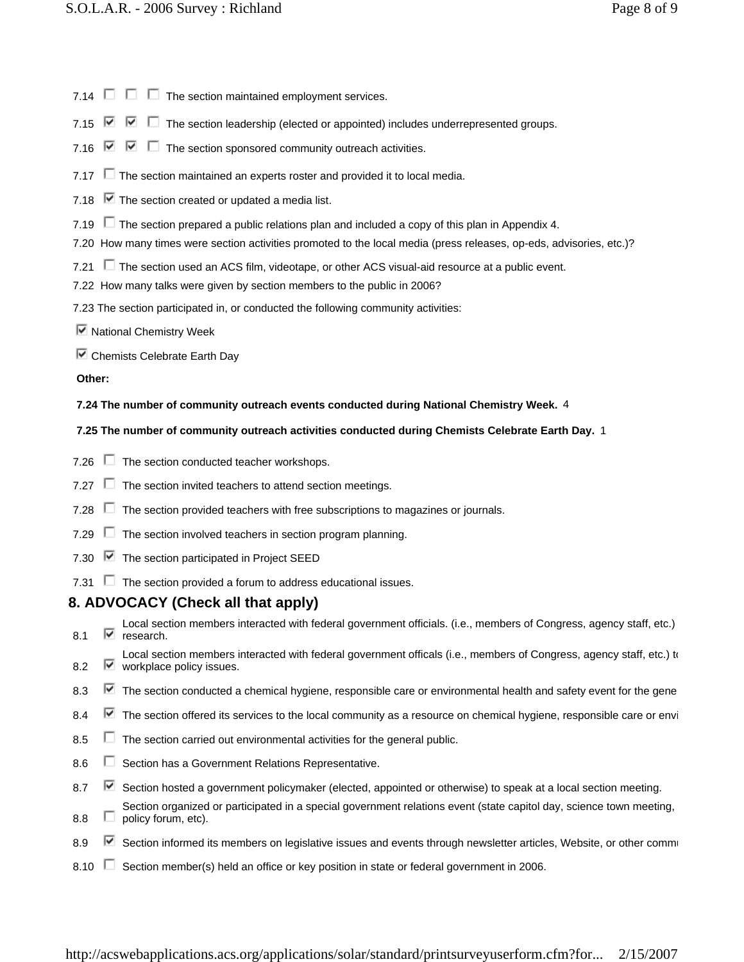- 7.14  $\Box$   $\Box$  The section maintained employment services.
- 7.15  $\blacksquare$   $\blacksquare$  The section leadership (elected or appointed) includes underrepresented groups.
- 7.16  $\triangledown$   $\triangledown$   $\square$  The section sponsored community outreach activities.
- 7.17  $\Box$  The section maintained an experts roster and provided it to local media.
- 7.18  $\triangledown$  The section created or updated a media list.
- 7.19  $\Box$  The section prepared a public relations plan and included a copy of this plan in Appendix 4.
- 7.20 How many times were section activities promoted to the local media (press releases, op-eds, advisories, etc.)?
- 7.21  $\Box$  The section used an ACS film, videotape, or other ACS visual-aid resource at a public event.
- 7.22 How many talks were given by section members to the public in 2006?
- 7.23 The section participated in, or conducted the following community activities:
- $\blacksquare$  National Chemistry Week
- $\triangledown$  Chemists Celebrate Earth Day

## **Other:**

## **7.24 The number of community outreach events conducted during National Chemistry Week.** 4

## **7.25 The number of community outreach activities conducted during Chemists Celebrate Earth Day.** 1

- 7.26  $\Box$  The section conducted teacher workshops.
- 7.27  $\Box$  The section invited teachers to attend section meetings.
- 7.28 The section provided teachers with free subscriptions to magazines or journals.
- 7.29  $\Box$  The section involved teachers in section program planning.
- 7.30  $\boxed{\triangleright}$  The section participated in Project SEED
- 7.31  $\Box$  The section provided a forum to address educational issues.

## **8. ADVOCACY (Check all that apply)**

- 8.1 M research. Local section members interacted with federal government officials. (i.e., members of Congress, agency staff, etc.)
- 8.2 <u>■ workplace policy</u> issues. Local section members interacted with federal government officals (i.e., members of Congress, agency staff, etc.) to
- 8.3  $\blacktriangleright$  The section conducted a chemical hygiene, responsible care or environmental health and safety event for the gene
- 8.4 The section offered its services to the local community as a resource on chemical hygiene, responsible care or envi
- 8.5  $\Box$  The section carried out environmental activities for the general public.
- 8.6 **Section has a Government Relations Representative.**
- 8.7 Section hosted a government policymaker (elected, appointed or otherwise) to speak at a local section meeting.
- 8.8  $\Box$ Section organized or participated in a special government relations event (state capitol day, science town meeting, policy forum, etc).
- 8.9 Section informed its members on legislative issues and events through newsletter articles, Website, or other commi
- 8.10  $\Box$  Section member(s) held an office or key position in state or federal government in 2006.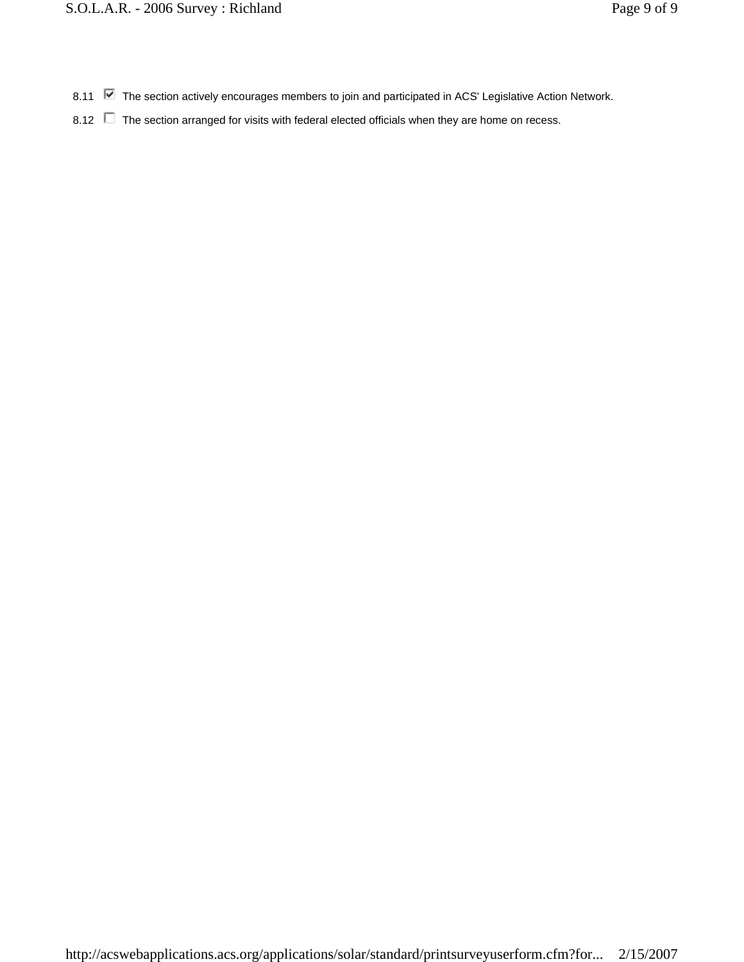- 8.11 The section actively encourages members to join and participated in ACS' Legislative Action Network.
- 8.12 **The section arranged for visits with federal elected officials when they are home on recess.**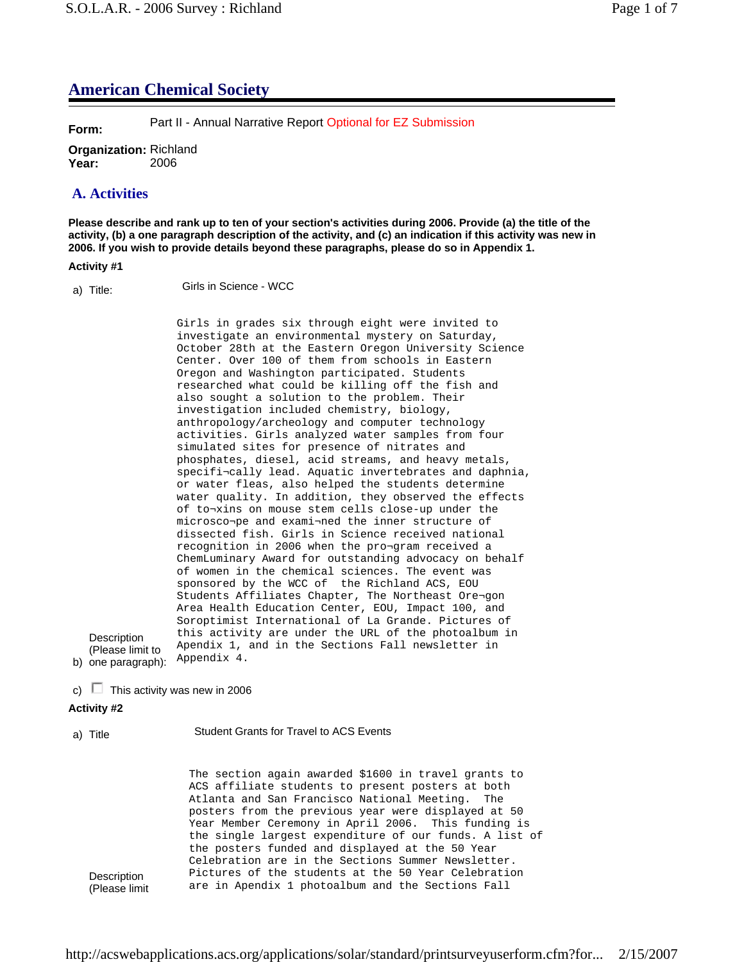# **American Chemical Society**

**Form:** Part II - Annual Narrative Report Optional for EZ Submission

**Organization:** Richland **Year:** 2006

## **A. Activities**

**Please describe and rank up to ten of your section's activities during 2006. Provide (a) the title of the activity, (b) a one paragraph description of the activity, and (c) an indication if this activity was new in 2006. If you wish to provide details beyond these paragraphs, please do so in Appendix 1.**

## **Activity #1**

a) Title: Girls in Science - WCC

b) one paragraph): Girls in grades six through eight were invited to investigate an environmental mystery on Saturday, October 28th at the Eastern Oregon University Science Center. Over 100 of them from schools in Eastern Oregon and Washington participated. Students researched what could be killing off the fish and also sought a solution to the problem. Their investigation included chemistry, biology, anthropology/archeology and computer technology activities. Girls analyzed water samples from four simulated sites for presence of nitrates and phosphates, diesel, acid streams, and heavy metals, specifi¬cally lead. Aquatic invertebrates and daphnia, or water fleas, also helped the students determine water quality. In addition, they observed the effects of to¬xins on mouse stem cells close-up under the microsco¬pe and exami¬ned the inner structure of dissected fish. Girls in Science received national recognition in 2006 when the pro¬gram received a ChemLuminary Award for outstanding advocacy on behalf of women in the chemical sciences. The event was sponsored by the WCC of the Richland ACS, EOU Students Affiliates Chapter, The Northeast Ore¬gon Area Health Education Center, EOU, Impact 100, and Soroptimist International of La Grande. Pictures of this activity are under the URL of the photoalbum in Apendix 1, and in the Sections Fall newsletter in Appendix 4.

c)  $\Box$  This activity was new in 2006

## **Activity #2**

**Description** (Please limit to

a) Title Student Grants for Travel to ACS Events

**Description** (Please limit The section again awarded \$1600 in travel grants to ACS affiliate students to present posters at both Atlanta and San Francisco National Meeting. The posters from the previous year were displayed at 50 Year Member Ceremony in April 2006. This funding is the single largest expenditure of our funds. A list of the posters funded and displayed at the 50 Year Celebration are in the Sections Summer Newsletter. Pictures of the students at the 50 Year Celebration are in Apendix 1 photoalbum and the Sections Fall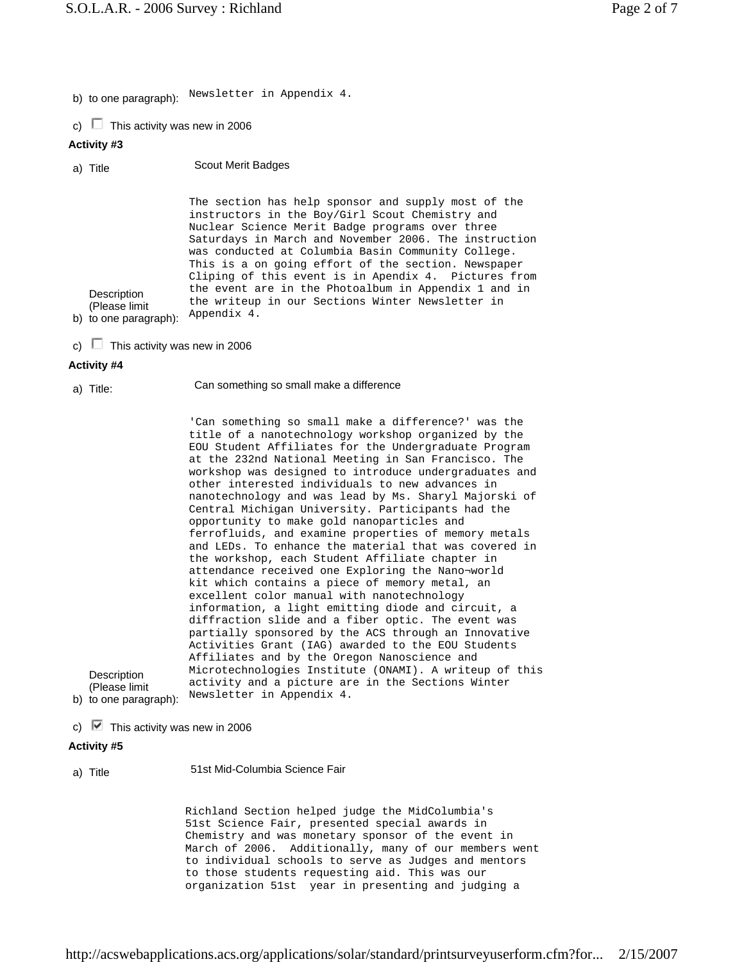b) to one paragraph): Newsletter in Appendix 4.

c)  $\Box$  This activity was new in 2006

## **Activity #3**

a) Title Scout Merit Badges

b) to one paragraph): **Description** (Please limit The section has help sponsor and supply most of the instructors in the Boy/Girl Scout Chemistry and Nuclear Science Merit Badge programs over three Saturdays in March and November 2006. The instruction was conducted at Columbia Basin Community College. This is a on going effort of the section. Newspaper Cliping of this event is in Apendix 4. Pictures from the event are in the Photoalbum in Appendix 1 and in the writeup in our Sections Winter Newsletter in Appendix 4.

c)  $\Box$  This activity was new in 2006

#### **Activity #4**

a) Title: Can something so small make a difference

b) to one paragraph): 'Can something so small make a difference?' was the title of a nanotechnology workshop organized by the EOU Student Affiliates for the Undergraduate Program at the 232nd National Meeting in San Francisco. The workshop was designed to introduce undergraduates and other interested individuals to new advances in nanotechnology and was lead by Ms. Sharyl Majorski of Central Michigan University. Participants had the opportunity to make gold nanoparticles and ferrofluids, and examine properties of memory metals and LEDs. To enhance the material that was covered in the workshop, each Student Affiliate chapter in attendance received one Exploring the Nano¬world kit which contains a piece of memory metal, an excellent color manual with nanotechnology information, a light emitting diode and circuit, a diffraction slide and a fiber optic. The event was partially sponsored by the ACS through an Innovative Activities Grant (IAG) awarded to the EOU Students Affiliates and by the Oregon Nanoscience and Microtechnologies Institute (ONAMI). A writeup of this activity and a picture are in the Sections Winter Newsletter in Appendix 4.

c)  $\blacksquare$  This activity was new in 2006

#### **Activity #5**

**Description** (Please limit

## a) Title 51st Mid-Columbia Science Fair

Richland Section helped judge the MidColumbia's 51st Science Fair, presented special awards in Chemistry and was monetary sponsor of the event in March of 2006. Additionally, many of our members went to individual schools to serve as Judges and mentors to those students requesting aid. This was our organization 51st year in presenting and judging a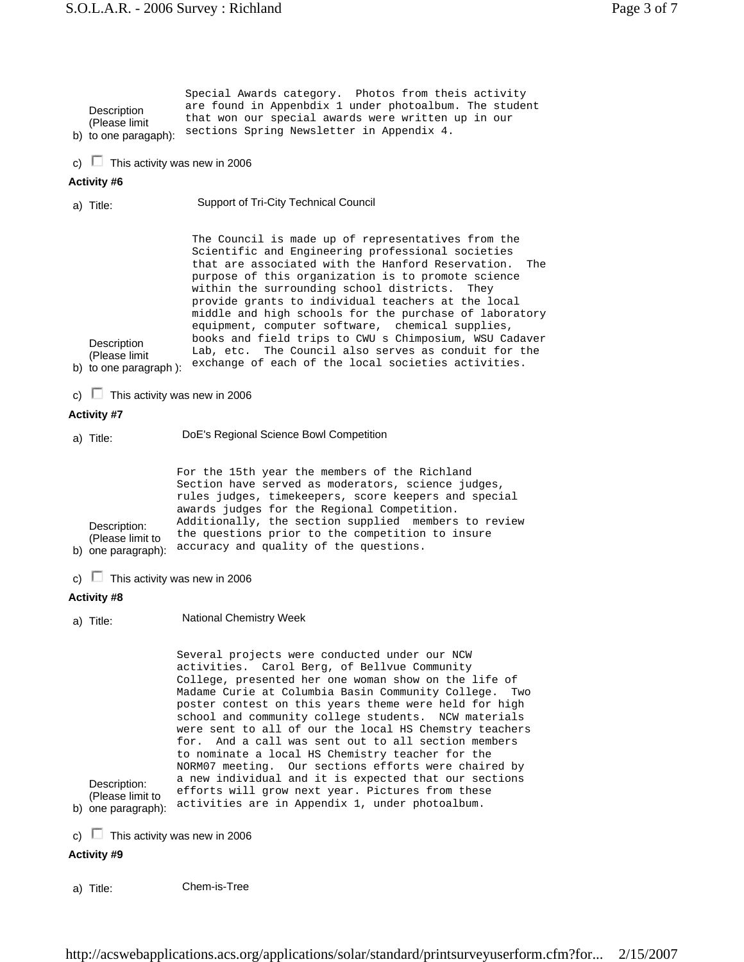| Description<br>(Please limit)<br>b) to one paragaph):   | Special Awards category. Photos from theis activity<br>are found in Appenbdix 1 under photoalbum. The student<br>that won our special awards were written up in our<br>sections Spring Newsletter in Appendix 4.                                                                                                                                                                                                                                                                                                                                                                                                        |
|---------------------------------------------------------|-------------------------------------------------------------------------------------------------------------------------------------------------------------------------------------------------------------------------------------------------------------------------------------------------------------------------------------------------------------------------------------------------------------------------------------------------------------------------------------------------------------------------------------------------------------------------------------------------------------------------|
| This activity was new in 2006<br>c) $\perp$             |                                                                                                                                                                                                                                                                                                                                                                                                                                                                                                                                                                                                                         |
| Activity #6                                             |                                                                                                                                                                                                                                                                                                                                                                                                                                                                                                                                                                                                                         |
| a) Title:                                               | Support of Tri-City Technical Council                                                                                                                                                                                                                                                                                                                                                                                                                                                                                                                                                                                   |
| Description<br>(Please limit)<br>b) to one paragraph ): | The Council is made up of representatives from the<br>Scientific and Engineering professional societies<br>that are associated with the Hanford Reservation.<br>The<br>purpose of this organization is to promote science<br>within the surrounding school districts. They<br>provide grants to individual teachers at the local<br>middle and high schools for the purchase of laboratory<br>equipment, computer software, chemical supplies,<br>books and field trips to CWU s Chimposium, WSU Cadaver<br>Lab, etc. The Council also serves as conduit for the<br>exchange of each of the local societies activities. |

c)  $\Box$  This activity was new in 2006

#### **Activity #7**

- a) Title: DoE's Regional Science Bowl Competition b) one paragraph): Description: (Please limit to For the 15th year the members of the Richland Section have served as moderators, science judges, rules judges, timekeepers, score keepers and special awards judges for the Regional Competition. Additionally, the section supplied members to review the questions prior to the competition to insure accuracy and quality of the questions.
- c)  $\Box$  This activity was new in 2006
- **Activity #8**
- a) Title: National Chemistry Week

b) one paragraph): Description: (Please limit to Several projects were conducted under our NCW activities. Carol Berg, of Bellvue Community College, presented her one woman show on the life of Madame Curie at Columbia Basin Community College. Two poster contest on this years theme were held for high school and community college students. NCW materials were sent to all of our the local HS Chemstry teachers for. And a call was sent out to all section members to nominate a local HS Chemistry teacher for the NORM07 meeting. Our sections efforts were chaired by a new individual and it is expected that our sections efforts will grow next year. Pictures from these activities are in Appendix 1, under photoalbum.

c)  $\Box$  This activity was new in 2006

#### **Activity #9**

a) Title: Chem-is-Tree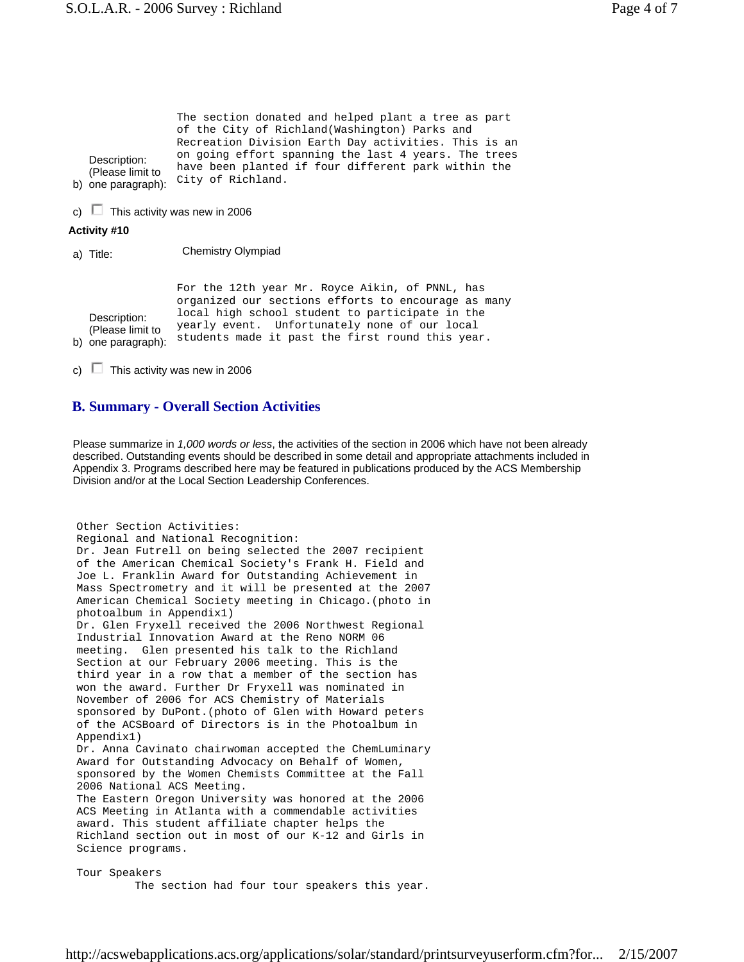| Description:<br>(Please limit to<br>b) one paragraph): | The section donated and helped plant a tree as part<br>of the City of Richland(Washington) Parks and<br>Recreation Division Earth Day activities. This is an<br>on going effort spanning the last 4 years. The trees<br>have been planted if four different park within the<br>City of Richland. |  |  |  |
|--------------------------------------------------------|--------------------------------------------------------------------------------------------------------------------------------------------------------------------------------------------------------------------------------------------------------------------------------------------------|--|--|--|
| c) $\Box$                                              | This activity was new in 2006                                                                                                                                                                                                                                                                    |  |  |  |
| Activity #10                                           |                                                                                                                                                                                                                                                                                                  |  |  |  |
| a) Title:                                              | Chemistry Olympiad                                                                                                                                                                                                                                                                               |  |  |  |
| Description:<br>(Please limit to<br>b) one paragraph): | For the 12th year Mr. Royce Aikin, of PNNL, has<br>organized our sections efforts to encourage as many<br>local high school student to participate in the<br>yearly event. Unfortunately none of our local<br>students made it past the first round this year.                                   |  |  |  |

c)  $\Box$  This activity was new in 2006

## **B. Summary - Overall Section Activities**

Please summarize in *1,000 words or less*, the activities of the section in 2006 which have not been already described. Outstanding events should be described in some detail and appropriate attachments included in Appendix 3. Programs described here may be featured in publications produced by the ACS Membership Division and/or at the Local Section Leadership Conferences.

```
Other Section Activities: 
Regional and National Recognition: 
Dr. Jean Futrell on being selected the 2007 recipient 
of the American Chemical Society's Frank H. Field and 
Joe L. Franklin Award for Outstanding Achievement in 
Mass Spectrometry and it will be presented at the 2007 
American Chemical Society meeting in Chicago.(photo in 
photoalbum in Appendix1) 
Dr. Glen Fryxell received the 2006 Northwest Regional 
Industrial Innovation Award at the Reno NORM 06
meeting. Glen presented his talk to the Richland 
Section at our February 2006 meeting. This is the 
third year in a row that a member of the section has 
won the award. Further Dr Fryxell was nominated in 
November of 2006 for ACS Chemistry of Materials 
sponsored by DuPont.(photo of Glen with Howard peters 
of the ACSBoard of Directors is in the Photoalbum in 
Appendix1) 
Dr. Anna Cavinato chairwoman accepted the ChemLuminary 
Award for Outstanding Advocacy on Behalf of Women, 
sponsored by the Women Chemists Committee at the Fall 
2006 National ACS Meeting. 
The Eastern Oregon University was honored at the 2006 
ACS Meeting in Atlanta with a commendable activities 
award. This student affiliate chapter helps the 
Richland section out in most of our K-12 and Girls in 
Science programs. 
Tour Speakers
```
The section had four tour speakers this year.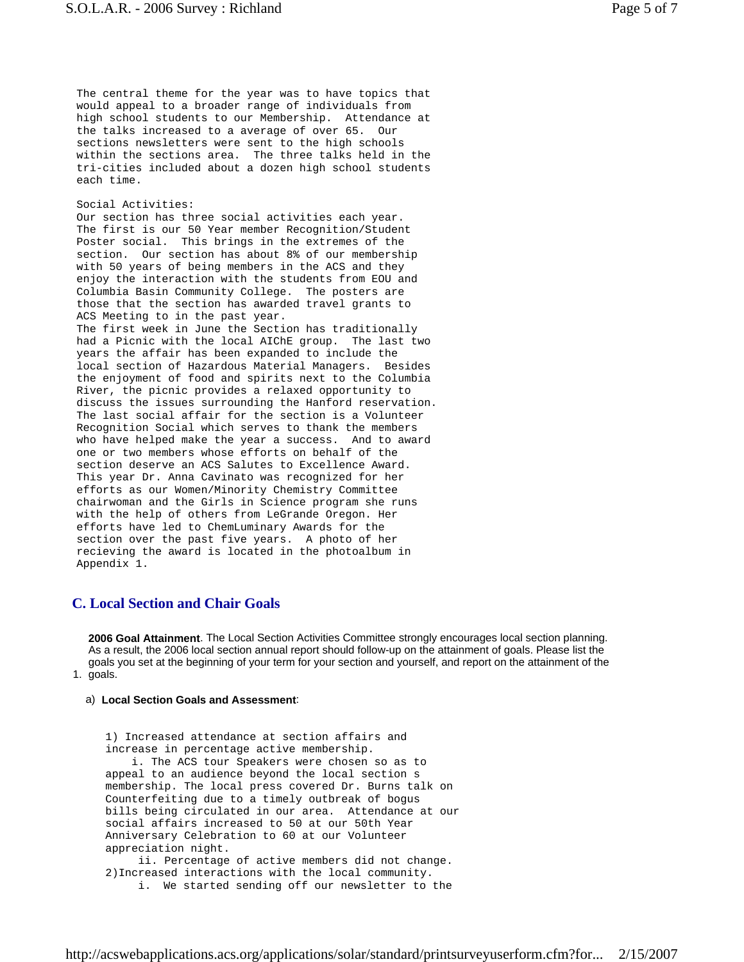The central theme for the year was to have topics that would appeal to a broader range of individuals from high school students to our Membership. Attendance at the talks increased to a average of over 65. Our sections newsletters were sent to the high schools within the sections area. The three talks held in the tri-cities included about a dozen high school students each time.

#### Social Activities:

Our section has three social activities each year. The first is our 50 Year member Recognition/Student Poster social. This brings in the extremes of the section. Our section has about 8% of our membership with 50 years of being members in the ACS and they enjoy the interaction with the students from EOU and Columbia Basin Community College. The posters are those that the section has awarded travel grants to ACS Meeting to in the past year. The first week in June the Section has traditionally had a Picnic with the local AIChE group. The last two years the affair has been expanded to include the local section of Hazardous Material Managers. Besides the enjoyment of food and spirits next to the Columbia River, the picnic provides a relaxed opportunity to discuss the issues surrounding the Hanford reservation. The last social affair for the section is a Volunteer Recognition Social which serves to thank the members who have helped make the year a success. And to award one or two members whose efforts on behalf of the section deserve an ACS Salutes to Excellence Award. This year Dr. Anna Cavinato was recognized for her efforts as our Women/Minority Chemistry Committee chairwoman and the Girls in Science program she runs with the help of others from LeGrande Oregon. Her efforts have led to ChemLuminary Awards for the section over the past five years. A photo of her recieving the award is located in the photoalbum in Appendix 1.

## **C. Local Section and Chair Goals**

1. goals. **2006 Goal Attainment**. The Local Section Activities Committee strongly encourages local section planning. As a result, the 2006 local section annual report should follow-up on the attainment of goals. Please list the goals you set at the beginning of your term for your section and yourself, and report on the attainment of the

#### a) **Local Section Goals and Assessment**:

1) Increased attendance at section affairs and increase in percentage active membership. i. The ACS tour Speakers were chosen so as to appeal to an audience beyond the local section s membership. The local press covered Dr. Burns talk on Counterfeiting due to a timely outbreak of bogus bills being circulated in our area. Attendance at our social affairs increased to 50 at our 50th Year Anniversary Celebration to 60 at our Volunteer appreciation night. ii. Percentage of active members did not change. 2)Increased interactions with the local community. i. We started sending off our newsletter to the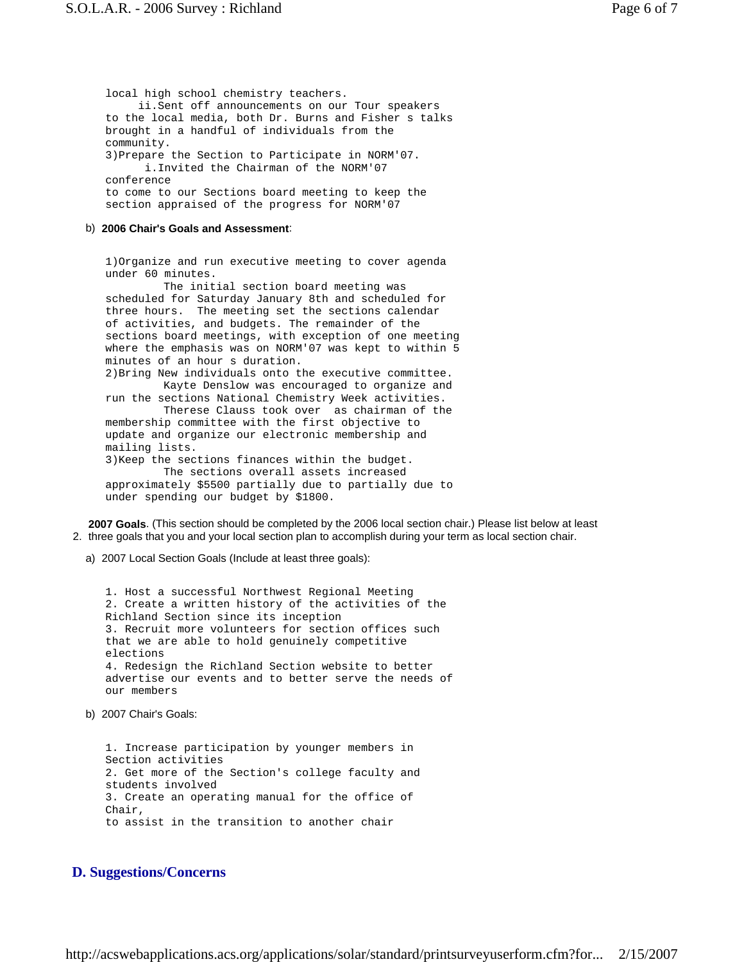local high school chemistry teachers. ii.Sent off announcements on our Tour speakers to the local media, both Dr. Burns and Fisher s talks brought in a handful of individuals from the community. 3)Prepare the Section to Participate in NORM'07. i.Invited the Chairman of the NORM'07 conference to come to our Sections board meeting to keep the section appraised of the progress for NORM'07 b) **2006 Chair's Goals and Assessment**: 1)Organize and run executive meeting to cover agenda under 60 minutes. The initial section board meeting was scheduled for Saturday January 8th and scheduled for three hours. The meeting set the sections calendar of activities, and budgets. The remainder of the sections board meetings, with exception of one meeting where the emphasis was on NORM'07 was kept to within 5 minutes of an hour s duration. 2)Bring New individuals onto the executive committee. Kayte Denslow was encouraged to organize and run the sections National Chemistry Week activities. Therese Clauss took over as chairman of the membership committee with the first objective to update and organize our electronic membership and mailing lists. 3)Keep the sections finances within the budget. The sections overall assets increased approximately \$5500 partially due to partially due to under spending our budget by \$1800.

2. three goals that you and your local section plan to accomplish during your term as local section chair. **2007 Goals**. (This section should be completed by the 2006 local section chair.) Please list below at least

a) 2007 Local Section Goals (Include at least three goals):

1. Host a successful Northwest Regional Meeting 2. Create a written history of the activities of the Richland Section since its inception 3. Recruit more volunteers for section offices such that we are able to hold genuinely competitive elections 4. Redesign the Richland Section website to better advertise our events and to better serve the needs of our members

#### b) 2007 Chair's Goals:

1. Increase participation by younger members in Section activities 2. Get more of the Section's college faculty and students involved 3. Create an operating manual for the office of Chair, to assist in the transition to another chair

## **D. Suggestions/Concerns**